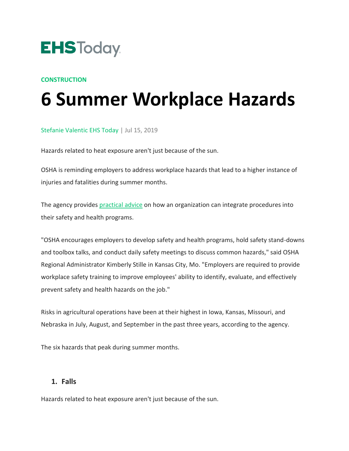

#### **[CONSTRUCTION](https://www.ehstoday.com/construction)**

# **6 Summer Workplace Hazards**

[Stefanie Valentic EHS Today](https://www.ehstoday.com/author/Stefanie-Valentic-1) | Jul 15, 2019

Hazards related to heat exposure aren't just because of the sun.

OSHA is reminding employers to address workplace hazards that lead to a higher instance of injuries and fatalities during summer months.

The agency provides practical advice on how an organization can integrate procedures into their safety and health programs.

"OSHA encourages employers to develop safety and health programs, hold safety stand-downs and toolbox talks, and conduct daily safety meetings to discuss common hazards," said OSHA Regional Administrator Kimberly Stille in Kansas City, Mo. "Employers are required to provide workplace safety training to improve employees' ability to identify, evaluate, and effectively prevent safety and health hazards on the job."

Risks in agricultural operations have been at their highest in Iowa, Kansas, Missouri, and Nebraska in July, August, and September in the past three years, according to the agency.

The six hazards that peak during summer months.

#### **1. Falls**

Hazards related to heat exposure aren't just because of the sun.